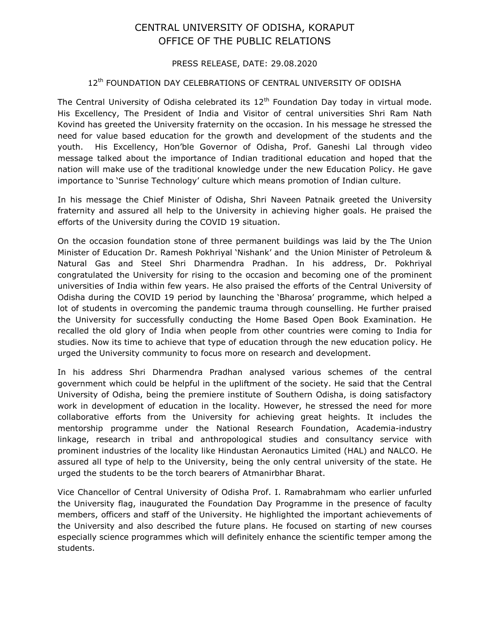## CENTRAL UNIVERSITY OF ODISHA, KORAPUT OFFICE OF THE PUBLIC RELATIONS

## PRESS RELEASE, DATE: 29.08.2020

## 12<sup>th</sup> FOUNDATION DAY CELEBRATIONS OF CENTRAL UNIVERSITY OF ODISHA

The Central University of Odisha celebrated its  $12<sup>th</sup>$  Foundation Day today in virtual mode. His Excellency, The President of India and Visitor of central universities Shri Ram Nath Kovind has greeted the University fraternity on the occasion. In his message he stressed the need for value based education for the growth and development of the students and the youth. His Excellency, Hon'ble Governor of Odisha, Prof. Ganeshi Lal through video message talked about the importance of Indian traditional education and hoped that the nation will make use of the traditional knowledge under the new Education Policy. He gave importance to 'Sunrise Technology' culture which means promotion of Indian culture.

In his message the Chief Minister of Odisha, Shri Naveen Patnaik greeted the University fraternity and assured all help to the University in achieving higher goals. He praised the efforts of the University during the COVID 19 situation.

On the occasion foundation stone of three permanent buildings was laid by the The Union Minister of Education Dr. Ramesh Pokhriyal 'Nishank' and the Union Minister of Petroleum & Natural Gas and Steel Shri Dharmendra Pradhan. In his address, Dr. Pokhriyal congratulated the University for rising to the occasion and becoming one of the prominent universities of India within few years. He also praised the efforts of the Central University of Odisha during the COVID 19 period by launching the 'Bharosa' programme, which helped a lot of students in overcoming the pandemic trauma through counselling. He further praised the University for successfully conducting the Home Based Open Book Examination. He recalled the old glory of India when people from other countries were coming to India for studies. Now its time to achieve that type of education through the new education policy. He urged the University community to focus more on research and development.

In his address Shri Dharmendra Pradhan analysed various schemes of the central government which could be helpful in the upliftment of the society. He said that the Central University of Odisha, being the premiere institute of Southern Odisha, is doing satisfactory work in development of education in the locality. However, he stressed the need for more collaborative efforts from the University for achieving great heights. It includes the mentorship programme under the National Research Foundation, Academia-industry linkage, research in tribal and anthropological studies and consultancy service with prominent industries of the locality like Hindustan Aeronautics Limited (HAL) and NALCO. He assured all type of help to the University, being the only central university of the state. He urged the students to be the torch bearers of Atmanirbhar Bharat.

Vice Chancellor of Central University of Odisha Prof. I. Ramabrahmam who earlier unfurled the University flag, inaugurated the Foundation Day Programme in the presence of faculty members, officers and staff of the University. He highlighted the important achievements of the University and also described the future plans. He focused on starting of new courses especially science programmes which will definitely enhance the scientific temper among the students.